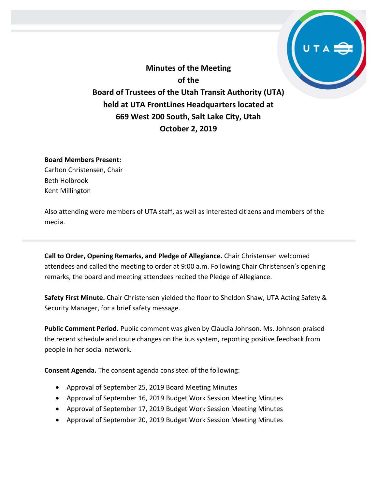**Minutes of the Meeting of the Board of Trustees of the Utah Transit Authority (UTA) held at UTA FrontLines Headquarters located at 669 West 200 South, Salt Lake City, Utah October 2, 2019**

## **Board Members Present:**

Carlton Christensen, Chair Beth Holbrook Kent Millington

Also attending were members of UTA staff, as well as interested citizens and members of the media.

**Call to Order, Opening Remarks, and Pledge of Allegiance.** Chair Christensen welcomed attendees and called the meeting to order at 9:00 a.m. Following Chair Christensen's opening remarks, the board and meeting attendees recited the Pledge of Allegiance.

**Safety First Minute.** Chair Christensen yielded the floor to Sheldon Shaw, UTA Acting Safety & Security Manager, for a brief safety message.

**Public Comment Period.** Public comment was given by Claudia Johnson. Ms. Johnson praised the recent schedule and route changes on the bus system, reporting positive feedback from people in her social network.

**Consent Agenda.** The consent agenda consisted of the following:

- Approval of September 25, 2019 Board Meeting Minutes
- Approval of September 16, 2019 Budget Work Session Meeting Minutes
- Approval of September 17, 2019 Budget Work Session Meeting Minutes
- Approval of September 20, 2019 Budget Work Session Meeting Minutes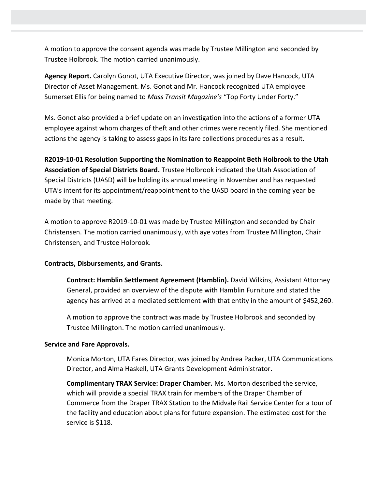A motion to approve the consent agenda was made by Trustee Millington and seconded by Trustee Holbrook. The motion carried unanimously.

**Agency Report.** Carolyn Gonot, UTA Executive Director, was joined by Dave Hancock, UTA Director of Asset Management. Ms. Gonot and Mr. Hancock recognized UTA employee Sumerset Ellis for being named to *Mass Transit Magazine's* "Top Forty Under Forty."

Ms. Gonot also provided a brief update on an investigation into the actions of a former UTA employee against whom charges of theft and other crimes were recently filed. She mentioned actions the agency is taking to assess gaps in its fare collections procedures as a result.

**R2019-10-01 Resolution Supporting the Nomination to Reappoint Beth Holbrook to the Utah Association of Special Districts Board.** Trustee Holbrook indicated the Utah Association of Special Districts (UASD) will be holding its annual meeting in November and has requested UTA's intent for its appointment/reappointment to the UASD board in the coming year be made by that meeting.

A motion to approve R2019-10-01 was made by Trustee Millington and seconded by Chair Christensen. The motion carried unanimously, with aye votes from Trustee Millington, Chair Christensen, and Trustee Holbrook.

## **Contracts, Disbursements, and Grants.**

**Contract: Hamblin Settlement Agreement (Hamblin).** David Wilkins, Assistant Attorney General, provided an overview of the dispute with Hamblin Furniture and stated the agency has arrived at a mediated settlement with that entity in the amount of \$452,260.

A motion to approve the contract was made by Trustee Holbrook and seconded by Trustee Millington. The motion carried unanimously.

## **Service and Fare Approvals.**

Monica Morton, UTA Fares Director, was joined by Andrea Packer, UTA Communications Director, and Alma Haskell, UTA Grants Development Administrator.

**Complimentary TRAX Service: Draper Chamber.** Ms. Morton described the service, which will provide a special TRAX train for members of the Draper Chamber of Commerce from the Draper TRAX Station to the Midvale Rail Service Center for a tour of the facility and education about plans for future expansion. The estimated cost for the service is \$118.